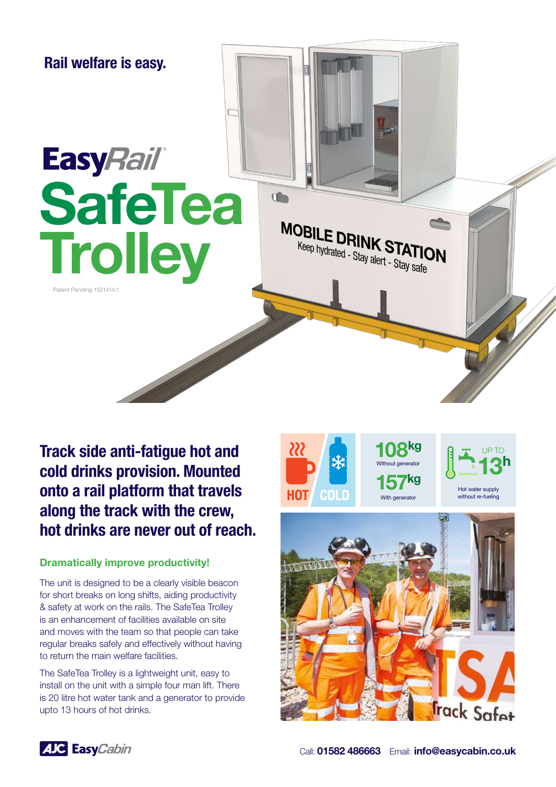

Track side anti-fatigue hot and cold drinks provision. Mounted onto a rail platform that travels along the track with the crew, hot drinks are never out of reach.

## Dramatically improve productivity!

The unit is designed to be a clearly visible beacon for short breaks on long shifts, aiding productivity & safety at work on the rails. The SafeTea Trolley is an enhancement of facilities available on site and moves with the team so that people can take regular breaks safely and effectively without having to return the main welfare facilities.

The SafeTea Trolley is a lightweight unit, easy to install on the unit with a simple four man lift. There is 20 litre hot water tank and a generator to provide upto 13 hours of hot drinks.